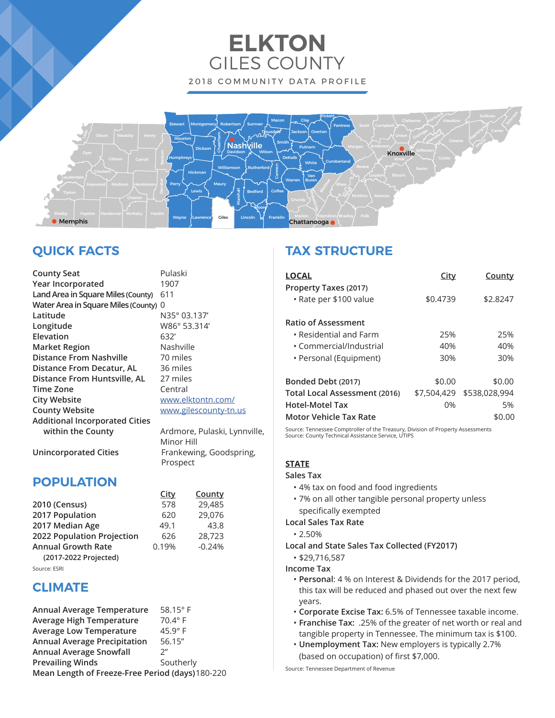# **ELKTON** GILES COUNTY 2018 COMMUNITY DATA PROFILE



# **QUICK FACTS**

| <b>County Seat</b>                    | Pulaski    |
|---------------------------------------|------------|
| Year Incorporated                     | 1907       |
| Land Area in Square Miles (County)    | 611        |
| Water Area in Square Miles (County) 0 |            |
| Latitude                              | N35° 03.1  |
| Longitude                             | W86° 53.3  |
| Elevation                             | 632'       |
| <b>Market Region</b>                  | Nashville  |
| <b>Distance From Nashville</b>        | 70 miles   |
| Distance From Decatur, AL             | 36 miles   |
| Distance From Huntsville, AL          | 27 miles   |
| <b>Time Zone</b>                      | Central    |
| <b>City Website</b>                   | www.elkt   |
| <b>County Website</b>                 | www.giles  |
| <b>Additional Incorporated Cities</b> |            |
| within the County                     | Ardmore,   |
|                                       | Minor Hill |

03.137' 53.314' **celktontn.com/ gilescounty-tn.us** 

nore, Pulaski, Lynnville, Minor Hill **Unincorporated Cities** Frankewing, Goodspring, Prospect

## **POPULATION**

|                            | <u>City</u> | County   |
|----------------------------|-------------|----------|
| 2010 (Census)              | 578         | 29,485   |
| 2017 Population            | 620         | 29,076   |
| 2017 Median Age            | 49.1        | 43.8     |
| 2022 Population Projection | 626         | 28.723   |
| <b>Annual Growth Rate</b>  | 0.19%       | $-0.24%$ |
| (2017-2022 Projected)      |             |          |

Source: ESRI

### **CLIMATE**

| Annual Average Temperature                       | 58.15 $^{\circ}$ F |
|--------------------------------------------------|--------------------|
| <b>Average High Temperature</b>                  | 70.4° F            |
| <b>Average Low Temperature</b>                   | $45.9^\circ$ F     |
| <b>Annual Average Precipitation</b>              | 56.15"             |
| <b>Annual Average Snowfall</b>                   | $2^{\prime\prime}$ |
| <b>Prevailing Winds</b>                          | Southerly          |
| Mean Length of Freeze-Free Period (days) 180-220 |                    |

# **TAX STRUCTURE**

| <b>LOCAL</b>                                    | <u>City</u> | County        |
|-------------------------------------------------|-------------|---------------|
| Property Taxes (2017)<br>• Rate per \$100 value | \$0.4739    | \$2.8247      |
| <b>Ratio of Assessment</b>                      |             |               |
| $\cdot$ Residential and Farm                    | 25%         | 25%           |
| • Commercial/Industrial                         | 40%         | 40%           |
| • Personal (Equipment)                          | 30%         | 30%           |
| Bonded Debt (2017)                              | \$0.00      | \$0.00        |
| Total Local Assessment (2016)                   | \$7,504,429 | \$538,028,994 |
| Hotel-Motel Tax                                 | 0%          | 5%            |
| Motor Vehicle Tax Rate                          |             | \$0.00        |

Source: Tennessee Comptroller of the Treasury, Division of Property Assessments Source: County Technical Assistance Service, UTIPS

### **STATE**

#### **Sales Tax**

- 4% tax on food and food ingredients
- 7% on all other tangible personal property unless specifically exempted

### **Local Sales Tax Rate**

- 2.50%
- **Local and State Sales Tax Collected (FY2017)**
	- \$29,716,587
- **Income Tax**
	- **Personal**: 4 % on Interest & Dividends for the 2017 period, this tax will be reduced and phased out over the next few years.
	- **Corporate Excise Tax:** 6.5% of Tennessee taxable income.
	- **Franchise Tax:** .25% of the greater of net worth or real and tangible property in Tennessee. The minimum tax is \$100.
	- **Unemployment Tax:** New employers is typically 2.7% (based on occupation) of first \$7,000.

Source: Tennessee Department of Revenue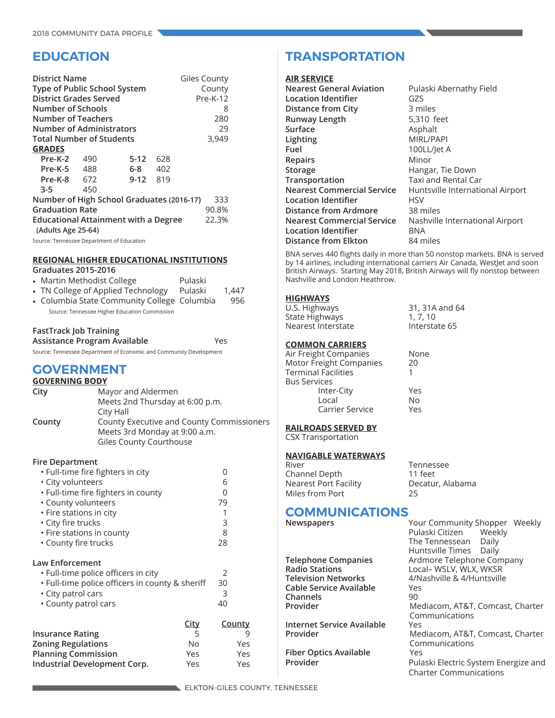### **EDUCATION**

| <b>District Name</b><br>Type of Public School System<br><b>District Grades Served</b><br>Number of Schools<br><b>Number of Teachers</b> |      |                                             |     | Giles County<br>County<br>$Pre-K-12$<br>8<br>280 |
|-----------------------------------------------------------------------------------------------------------------------------------------|------|---------------------------------------------|-----|--------------------------------------------------|
| <b>Number of Administrators</b>                                                                                                         |      |                                             |     | 29                                               |
| <b>Total Number of Students</b>                                                                                                         |      |                                             |     | 3,949                                            |
| <b>GRADES</b>                                                                                                                           |      |                                             |     |                                                  |
| Pre-K-2                                                                                                                                 | -490 | $5-12$                                      | 628 |                                                  |
| Pre-K-5                                                                                                                                 | 488  | 6-8                                         | 402 |                                                  |
| Pre-K-8 672                                                                                                                             |      | $9 - 12$                                    | 819 |                                                  |
| $3 - 5$                                                                                                                                 | 450  |                                             |     |                                                  |
|                                                                                                                                         |      | Number of High School Graduates (2016-17)   |     | 333                                              |
| <b>Graduation Rate</b>                                                                                                                  |      |                                             |     | 90.8%                                            |
| (Adults Age 25-64)                                                                                                                      |      | <b>Educational Attainment with a Degree</b> |     | 22.3%                                            |
| Source: Tennessee Department of Education                                                                                               |      |                                             |     |                                                  |

#### **REGIONAL HIGHER EDUCATIONAL INSTITUTIONS Graduates 2015-2016**

| • Martin Methodist College                    | Pulaski |       |
|-----------------------------------------------|---------|-------|
| • TN College of Applied Technology            | Pulaski | 1.447 |
| • Columbia State Community College Columbia   |         | 956   |
| Source: Tennessee Higher Education Commission |         |       |

### **FastTrack Job Training**

**Assistance Program Available** Yes Source: Tennessee Department of Economic and Community Development

### **GOVERNMENT**

| <b>GOVERNING BODY</b> |                    |  |
|-----------------------|--------------------|--|
| City                  | Mayor and Aldermen |  |
|                       |                    |  |

| Meets 2nd Thursday at 6:00 p.m.                  |
|--------------------------------------------------|
| City Hall                                        |
| <b>County Executive and County Commissioners</b> |
| Meets 3rd Monday at 9:00 a.m.                    |
| Giles County Courthouse                          |
|                                                  |

### **Fire Department**

| • Full-time fire fighters in city               |             | 0             |   |
|-------------------------------------------------|-------------|---------------|---|
| • City volunteers                               |             | 6             |   |
| • Full-time fire fighters in county             |             | Ω             |   |
| • County volunteers                             |             | 79            |   |
| • Fire stations in city                         |             | 1             |   |
| • City fire trucks                              |             | 3             |   |
| • Fire stations in county                       |             | 8             |   |
| • County fire trucks                            |             | 28            |   |
| <b>Law Enforcement</b>                          |             |               |   |
| . Full-time police officers in city             |             | 2             |   |
| • Full-time police officers in county & sheriff |             | 30            |   |
| • City patrol cars                              |             | 3             |   |
| • County patrol cars                            |             | 40            |   |
|                                                 | <b>City</b> | <b>County</b> |   |
| <b>Insurance Rating</b>                         | 5           |               | 9 |
| Zoning Regulations                              | No          | Yes           |   |
| <b>Planning Commission</b>                      | Yes         | Yes           |   |

**Industrial Development Corp.** Yes Yes

### **TRANSPORTATION**

#### **AIR SERVICE**

| <b>Nearest General Aviation</b>   | Pulaski Abernathy Field          |
|-----------------------------------|----------------------------------|
| Location Identifier               | GZS                              |
| Distance from City                | 3 miles                          |
| <b>Runway Length</b>              | 5,310 feet                       |
| Surface                           | Asphalt                          |
| Lighting                          | MIRL/PAPI                        |
| Fuel                              | 100LL/let A                      |
| <b>Repairs</b>                    | Minor                            |
| <b>Storage</b>                    | Hangar, Tie Down                 |
| Transportation                    | Taxi and Rental Car              |
| <b>Nearest Commercial Service</b> | Huntsville International Airport |
| <b>Location Identifier</b>        | HSV                              |
| Distance from Ardmore             | 38 miles                         |
| <b>Nearest Commercial Service</b> | Nashville International Airport  |
| <b>Location Identifier</b>        | <b>BNA</b>                       |
| <b>Distance from Elkton</b>       | 84 miles                         |
|                                   |                                  |

BNA serves 440 flights daily in more than 50 nonstop markets. BNA is served by 14 airlines, including international carriers Air Canada, WestJet and soon British Airways. Starting May 2018, British Airways will fly nonstop between Nashville and London Heathrow.

**None** 

Yes No. Yes

31, 31A and 64  $1, 7, 10$ Interstate 65

### **HIGHWAYS**

| U.S. Highways      |  |
|--------------------|--|
| State Highways     |  |
| Nearest Interstate |  |

### **COMMON CARRIERS**

| Nc |
|----|
| 20 |
|    |
|    |
| Ye |
| Nc |
| Ye |
|    |

### **RAILROADS SERVED BY**

CSX Transportation

# **NAVIGABLE WATERWAYS**

| Tennessee        |
|------------------|
| 11 feet          |
| Decatur, Alabama |
| 25               |
|                  |

# **COMMUNICATIONS**<br> **Newspapers**

| Newspapers                        | Your Community Shopper Weekly<br>Pulaski Citizen Weekly<br>The Tennessean Daily<br>Huntsville Times Daily |
|-----------------------------------|-----------------------------------------------------------------------------------------------------------|
| Telephone Companies               | Ardmore Telephone Company                                                                                 |
| <b>Radio Stations</b>             | Local- WSLV, WLX, WKSR                                                                                    |
| <b>Television Networks</b>        | 4/Nashville & 4/Huntsville                                                                                |
| Cable Service Available           | Yes                                                                                                       |
| Channels                          | 90                                                                                                        |
| Provider                          | Mediacom, AT&T, Comcast, Charter                                                                          |
|                                   | Communications                                                                                            |
| <b>Internet Service Available</b> | Yes                                                                                                       |
| Provider                          | Mediacom, AT&T, Comcast, Charter                                                                          |
|                                   | Communications                                                                                            |
| <b>Fiber Optics Available</b>     | Yes                                                                                                       |
| Provider                          | Pulaski Electric System Energize and                                                                      |
|                                   | <b>Charter Communications</b>                                                                             |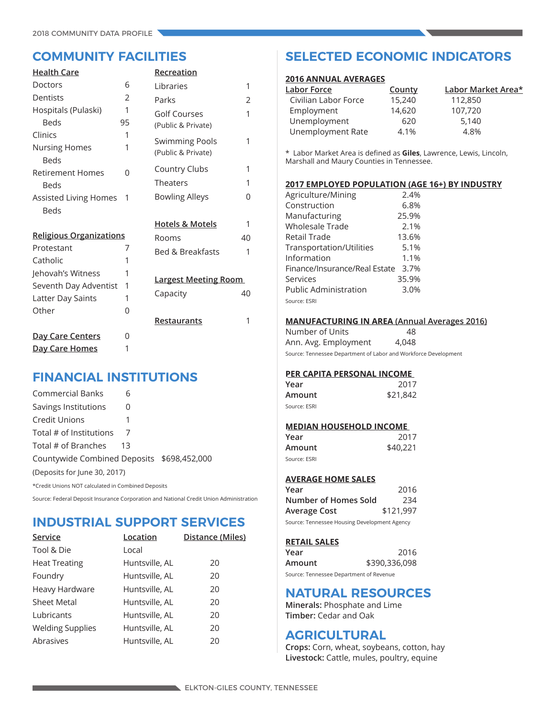| <b>Health Care</b>                  |         | Recreation                         |    |
|-------------------------------------|---------|------------------------------------|----|
| <b>Doctors</b>                      | 6       | Libraries                          | 1  |
| Dentists                            | 2       | Parks                              | 2  |
| Hospitals (Pulaski)<br><b>Beds</b>  | 1<br>95 | Golf Courses<br>(Public & Private) | 1  |
| Clinics                             | 1       | <b>Swimming Pools</b>              | 1  |
| <b>Nursing Homes</b><br><b>Beds</b> | 1       | (Public & Private)                 |    |
| <b>Retirement Homes</b>             | 0       | Country Clubs                      | 1  |
| Beds                                |         | Theaters                           | 1  |
| Assisted Living Homes               | 1       | <b>Bowling Alleys</b>              | 0  |
| <b>Beds</b>                         |         |                                    |    |
|                                     |         | <b>Hotels &amp; Motels</b>         | 1  |
| <b>Religious Organizations</b>      |         | Rooms                              | 40 |
| Protestant                          | 7       | <b>Bed &amp; Breakfasts</b>        | 1  |
| Catholic                            | 1       |                                    |    |
| Jehovah's Witness                   | 1       |                                    |    |
| Seventh Day Adventist               | 1       | <b>Largest Meeting Room</b>        |    |
| Latter Day Saints                   | 1       | Capacity                           | 40 |
| Other                               | 0       |                                    |    |
|                                     |         | Restaurants                        | 1  |
| <u>Day Care Centers</u>             | 0       |                                    |    |
| Day Care Homes                      | 1       |                                    |    |

### **FINANCIAL INSTITUTIONS**

| <b>Commercial Banks</b>                    | 6  |  |
|--------------------------------------------|----|--|
| Savings Institutions                       | 0  |  |
| Credit Unions                              |    |  |
| Total # of Institutions                    |    |  |
| Total # of Branches                        | 13 |  |
| Countywide Combined Deposits \$698,452,000 |    |  |
| (Deposits for June 30, 2017)               |    |  |
|                                            |    |  |

\*Credit Unions NOT calculated in Combined Deposits

Source: Federal Deposit Insurance Corporation and National Credit Union Administration

### **INDUSTRIAL SUPPORT SERVICES**

| Service                 | Location       | Distance (Miles) |
|-------------------------|----------------|------------------|
| Tool & Die              | Local          |                  |
| <b>Heat Treating</b>    | Huntsville, AL | 20               |
| Foundry                 | Huntsville, AL | 20               |
| Heavy Hardware          | Huntsville, AL | 20               |
| <b>Sheet Metal</b>      | Huntsville, AL | 20               |
| Lubricants              | Huntsville, AL | 20               |
| <b>Welding Supplies</b> | Huntsville, AL | 20               |
| Abrasives               | Huntsville, AL | 20               |

### **COMMUNITY FACILITIES SELECTED ECONOMIC INDICATORS**

### **2016 ANNUAL AVERAGES**

| Labor Force          | County | Labor Market Area* |
|----------------------|--------|--------------------|
| Civilian Labor Force | 15,240 | 112,850            |
| Employment           | 14,620 | 107,720            |
| Unemployment         | 620    | 5.140              |
| Unemployment Rate    | 4.1%   | 4.8%               |

\* Labor Market Area is defined as **Giles**, Lawrence, Lewis, Lincoln, Marshall and Maury Counties in Tennessee.

#### **2017 EMPLOYED POPULATION (AGE 16+) BY INDUSTRY**

| Agriculture/Mining            | 2.4%  |
|-------------------------------|-------|
| Construction                  | 6.8%  |
| Manufacturing                 | 25.9% |
| Wholesale Trade               | 2.1%  |
| Retail Trade                  | 13.6% |
| Transportation/Utilities      | 5.1%  |
| Information                   | 1.1%  |
| Finance/Insurance/Real Estate | 3.7%  |
| Services                      | 35.9% |
| <b>Public Administration</b>  | 3.0%  |
| Source: ESRI                  |       |

#### **MANUFACTURING IN AREA (Annual Averages 2016)**

Number of Units 48 Ann. Avg. Employment 4,048

Source: Tennessee Department of Labor and Workforce Development

### **PER CAPITA PERSONAL INCOME**

| Year         | 2017     |
|--------------|----------|
| Amount       | \$21,842 |
| Source: ESRI |          |

#### **MEDIAN HOUSEHOLD INCOME**

| Year         | 2017     |
|--------------|----------|
| Amount       | \$40,221 |
| Source: ESRI |          |

### **AVERAGE HOME SALES**

| Year                                         | 2016      |
|----------------------------------------------|-----------|
| Number of Homes Sold                         | 234       |
| Average Cost                                 | \$121,997 |
| Source: Tennessee Housing Development Agency |           |

### **RETAIL SALES**

| Year                                    | 2016          |
|-----------------------------------------|---------------|
| Amount                                  | \$390,336,098 |
| Source: Tennessee Department of Revenue |               |

### **NATURAL RESOURCES**

**Minerals:** Phosphate and Lime **Timber:** Cedar and Oak

### **AGRICULTURAL**

**Crops:** Corn, wheat, soybeans, cotton, hay **Livestock:** Cattle, mules, poultry, equine